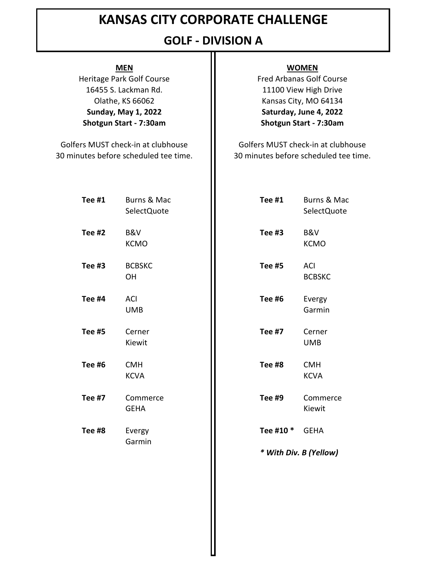## **GOLF - DIVISION A**

Olathe, KS 66062 **Sunday, May 1, 2022 Shotgun Start - 7:30am** 16455 S. Lackman Rd. Heritage Park Golf Course **Fred Arbanas Golf Course** 

30 minutes before scheduled tee time. Golfers MUST check-in at clubhouse **Golfers MUST** check-in at clubhouse

### **MEN WOMEN**

11100 View High Drive Kansas City, MO 64134 **Saturday, June 4, 2022 Shotgun Start - 7:30am**

30 minutes before scheduled tee time.

| Tee #1        | Burns & Mac<br>SelectQuote | Tee #1        | Burns & Mac<br>SelectQuote |
|---------------|----------------------------|---------------|----------------------------|
| Tee #2        | B&V<br><b>KCMO</b>         | Tee #3        | B&V<br><b>KCMO</b>         |
| Tee #3        | <b>BCBSKC</b><br>OH        | <b>Tee #5</b> | ACI<br><b>BCBSKC</b>       |
| <b>Tee #4</b> | <b>ACI</b><br><b>UMB</b>   | <b>Tee #6</b> | Evergy<br>Garmin           |
| <b>Tee #5</b> | Cerner<br>Kiewit           | <b>Tee #7</b> | Cerner<br><b>UMB</b>       |
| <b>Tee #6</b> | <b>CMH</b><br><b>KCVA</b>  | Tee #8        | <b>CMH</b><br><b>KCVA</b>  |
| <b>Tee #7</b> | Commerce<br><b>GEHA</b>    | <b>Tee #9</b> | Commerce<br>Kiewit         |
| Tee #8        | Evergy                     | Tee #10 *     | <b>GEHA</b>                |
|               | Garmin                     |               | * With Div. B (Yellow)     |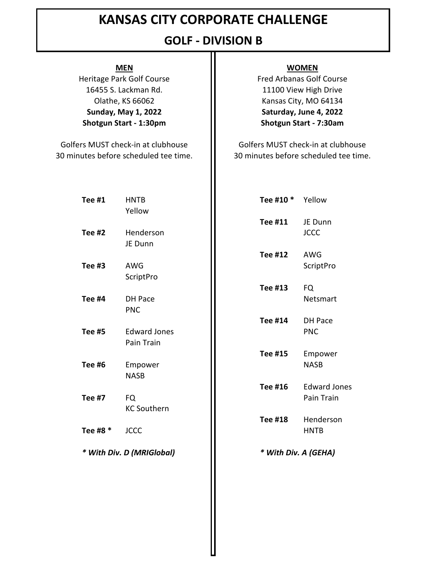## **GOLF - DIVISION B**

Heritage Park Golf Course **Fred Arbanas Golf Course** 

30 minutes before scheduled tee time. 30 minutes before scheduled tee time. Golfers MUST check-in at clubhouse **Golfers MUST** check-in at clubhouse

### **MEN WOMEN**

**Shotgun Start - 1:30pm Shotgun Start - 7:30am** 16455 S. Lackman Rd. **11100 View High Drive** Olathe, KS 66062 **If the Contract City**, MO 64134 **Sunday, May 1, 2022 Saturday, June 4, 2022**

| Tee #1        | <b>HNTB</b><br>Yellow             | Tee #10 *      | Yellow                             |
|---------------|-----------------------------------|----------------|------------------------------------|
| Tee $#2$      | Henderson                         | Tee #11        | JE Dunn<br><b>JCCC</b>             |
|               | JE Dunn                           | <b>Tee #12</b> | AWG                                |
| Tee #3        | AWG<br>ScriptPro                  |                | ScriptPro                          |
| Tee #4        | <b>DH Pace</b>                    | <b>Tee #13</b> | <b>FQ</b><br>Netsmart              |
| <b>Tee #5</b> | <b>PNC</b><br><b>Edward Jones</b> | <b>Tee #14</b> | DH Pace<br><b>PNC</b>              |
|               | Pain Train                        | Tee #15        | Empower                            |
| <b>Tee #6</b> | Empower<br><b>NASB</b>            | Tee #16        | <b>NASB</b><br><b>Edward Jones</b> |
| <b>Tee #7</b> | <b>FQ</b><br><b>KC Southern</b>   |                | Pain Train                         |
| Tee #8 *      | <b>JCCC</b>                       | <b>Tee #18</b> | Henderson<br><b>HNTB</b>           |
|               | * With Div. D (MRIGlobal)         |                | * With Div. A (GEHA)               |
|               |                                   |                |                                    |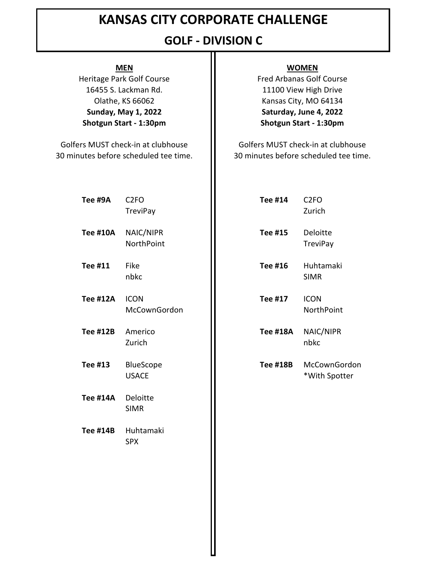## **GOLF - DIVISION C**

Heritage Park Golf Course **Fred Arbanas Golf Course** 

Golfers MUST check-in at clubhouse **Golfers MUST** check-in at clubhouse

### **MEN WOMEN**

**Shotgun Start - 1:30pm Shotgun Start - 1:30pm** 16455 S. Lackman Rd. **11100 View High Drive** Olathe, KS 66062 **If the Contract City**, MO 64134 **Sunday, May 1, 2022 Saturday, June 4, 2022**

30 minutes before scheduled tee time. 30 minutes before scheduled tee time.

| Tee #9A         | C <sub>2FO</sub><br><b>TreviPay</b> | <b>Tee #14</b>  | C <sub>2FO</sub><br>Zurich    |
|-----------------|-------------------------------------|-----------------|-------------------------------|
| <b>Tee #10A</b> | NAIC/NIPR<br>NorthPoint             | <b>Tee #15</b>  | Deloitte<br><b>TreviPay</b>   |
| Tee #11         | Fike<br>nbkc                        | Tee #16         | Huhtamaki<br><b>SIMR</b>      |
| <b>Tee #12A</b> | <b>ICON</b><br>McCownGordon         | Tee #17         | <b>ICON</b><br>NorthPoint     |
| <b>Tee #12B</b> | Americo<br>Zurich                   | <b>Tee #18A</b> | NAIC/NIPR<br>nbkc             |
| <b>Tee #13</b>  | BlueScope<br><b>USACE</b>           | <b>Tee #18B</b> | McCownGordon<br>*With Spotter |
| <b>Tee #14A</b> | Deloitte<br><b>SIMR</b>             |                 |                               |
| <b>Tee #14B</b> | Huhtamaki<br><b>SPX</b>             |                 |                               |
|                 |                                     |                 |                               |
|                 |                                     |                 |                               |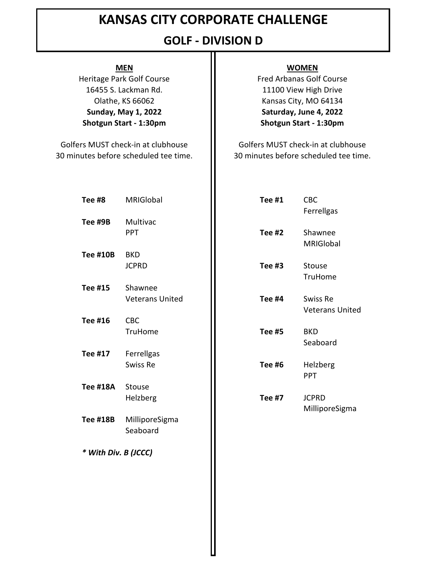## **GOLF - DIVISION D**

Heritage Park Golf Course **Fred Arbanas Golf Course** 

Golfers MUST check-in at clubhouse **Golfers MUST** check-in at clubhouse

### **MEN WOMEN**

**Shotgun Start - 1:30pm Shotgun Start - 1:30pm** 16455 S. Lackman Rd. **11100 View High Drive** Olathe, KS 66062 **If the Contract City**, MO 64134 **Sunday, May 1, 2022 Saturday, June 4, 2022**

30 minutes before scheduled tee time. 30 minutes before scheduled tee time.

| Tee #8               | MRIGIobal                         | <b>Tee #1</b> | <b>CBC</b><br>Ferrellgas           |
|----------------------|-----------------------------------|---------------|------------------------------------|
| Tee #9B              | Multivac<br><b>PPT</b>            | <b>Tee #2</b> | Shawnee<br>MRIGlobal               |
| <b>Tee #10B</b>      | <b>BKD</b><br><b>JCPRD</b>        | Tee #3        | Stouse<br>TruHome                  |
| <b>Tee #15</b>       | Shawnee<br><b>Veterans United</b> | <b>Tee #4</b> | Swiss Re<br><b>Veterans United</b> |
| <b>Tee #16</b>       | <b>CBC</b><br>TruHome             | <b>Tee #5</b> | <b>BKD</b><br>Seaboard             |
| Tee #17              | Ferrellgas<br>Swiss Re            | <b>Tee #6</b> | Helzberg<br>PPT                    |
| <b>Tee #18A</b>      | Stouse<br>Helzberg                | <b>Tee #7</b> | <b>JCPRD</b>                       |
| <b>Tee #18B</b>      | MilliporeSigma<br>Seaboard        |               | MilliporeSigma                     |
| * With Div. B (JCCC) |                                   |               |                                    |
|                      |                                   |               |                                    |
|                      |                                   |               |                                    |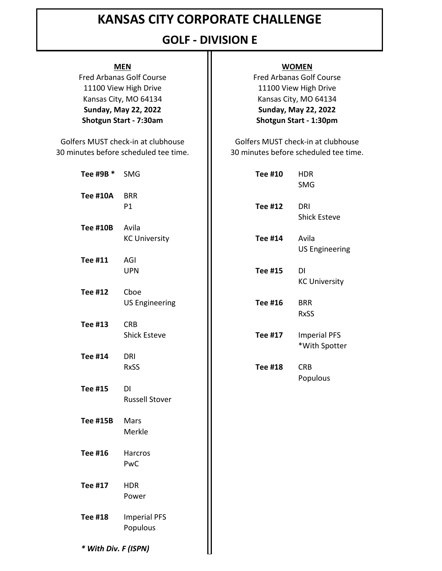## **GOLF - DIVISION E**

**Shotgun Start - 7:30am Shotgun Start - 1:30pm** 11100 View High Drive **11100 View High Drive** 11100 View High Drive Kansas City, MO 64134 **II** Kansas City, MO 64134 **Sunday, May 22, 2022 Sunday, May 22, 2022** Fred Arbanas Golf Course **Fred Arbanas Golf Course** 

30 minutes before scheduled tee time. 30 minutes before scheduled tee time. Golfers MUST check-in at clubhouse **Golfers MUST** check-in at clubhouse

| Tee #9B * SMG        |                                    | Tee #10 | <b>HDR</b><br>SMG         |
|----------------------|------------------------------------|---------|---------------------------|
| <b>Tee #10A</b>      | <b>BRR</b><br>P1                   | Tee #12 | <b>DRI</b><br>Shicl       |
| <b>Tee #10B</b>      | Avila<br><b>KC University</b>      | Tee #14 | Avila<br>US <sub>E</sub>  |
| Tee #11              | AGI<br><b>UPN</b>                  | Tee #15 | DI<br>KC <sub>U</sub>     |
| <b>Tee #12</b>       | Cboe<br><b>US Engineering</b>      | Tee #16 | <b>BRR</b><br><b>RxSS</b> |
| Tee #13              | <b>CRB</b><br><b>Shick Esteve</b>  | Tee #17 | Imp<br>*Wit               |
| <b>Tee #14</b>       | <b>DRI</b><br><b>RxSS</b>          | Tee #18 | <b>CRB</b>                |
| Tee #15              | <b>DI</b><br><b>Russell Stover</b> |         | Pop                       |
| <b>Tee #15B</b>      | Mars<br>Merkle                     |         |                           |
| Tee #16              | Harcros<br>PwC                     |         |                           |
| Tee #17              | <b>HDR</b><br>Power                |         |                           |
| <b>Tee #18</b>       | <b>Imperial PFS</b><br>Populous    |         |                           |
| * With Div. F (ISPN) |                                    |         |                           |

### **MEN WOMEN**

| SMG                   | Tee #10        | <b>HDR</b>            |
|-----------------------|----------------|-----------------------|
|                       |                | <b>SMG</b>            |
| <b>BRR</b>            |                |                       |
| P1                    | Tee #12        | <b>DRI</b>            |
|                       |                | <b>Shick Esteve</b>   |
| Avila                 |                |                       |
| <b>KC University</b>  | <b>Tee #14</b> | Avila                 |
|                       |                | <b>US Engineering</b> |
| AGI                   |                |                       |
| <b>UPN</b>            | <b>Tee #15</b> | DI                    |
|                       |                | <b>KC University</b>  |
| Cboe                  |                |                       |
| <b>US Engineering</b> | Tee #16        | <b>BRR</b>            |
|                       |                | <b>RxSS</b>           |
| <b>CRB</b>            |                |                       |
| <b>Shick Esteve</b>   | Tee #17        | <b>Imperial PFS</b>   |
|                       |                | *With Spotter         |
| DRI                   |                |                       |
| <b>RxSS</b>           | <b>Tee #18</b> | <b>CRB</b>            |
|                       |                | Populous              |
| DI                    |                |                       |
|                       |                |                       |
| <b>Russell Stover</b> |                |                       |
|                       |                |                       |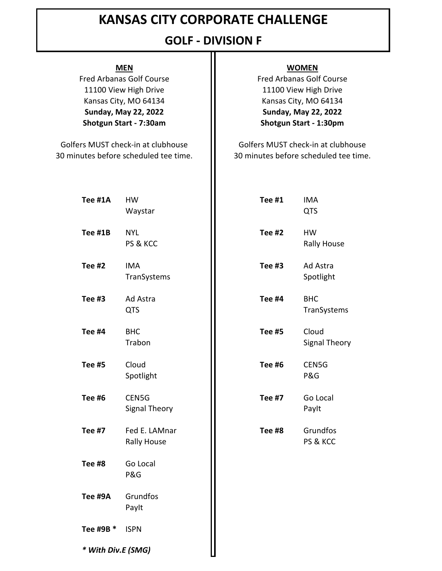## **GOLF - DIVISION F**

**Shotgun Start - 7:30am Shotgun Start - 1:30pm** 11100 View High Drive **11100 View High Drive** Kansas City, MO 64134 **Kansas City, MO 64134 Sunday, May 22, 2022 Sunday, May 22, 2022**

30 minutes before scheduled tee time. 30 minutes before scheduled tee time. Golfers MUST check-in at clubhouse **Golfers MUST** check-in at clubhouse

### **MEN WOMEN**

Fred Arbanas Golf Course **Fred Arbanas Golf Course** 

| Tee #1A            | <b>HW</b><br>Waystar                | <b>Tee #1</b> | <b>IMA</b><br><b>QTS</b>        |
|--------------------|-------------------------------------|---------------|---------------------------------|
| Tee #1B            | <b>NYL</b><br>PS & KCC              | <b>Tee #2</b> | <b>HW</b><br><b>Rally House</b> |
| <b>Tee #2</b>      | <b>IMA</b><br>TranSystems           | Tee #3        | Ad Astra<br>Spotlight           |
| Tee #3             | Ad Astra<br><b>QTS</b>              | <b>Tee #4</b> | <b>BHC</b><br>TranSystems       |
| <b>Tee #4</b>      | <b>BHC</b><br>Trabon                | <b>Tee #5</b> | Cloud<br><b>Signal Theory</b>   |
| <b>Tee #5</b>      | Cloud<br>Spotlight                  | <b>Tee #6</b> | CEN5G<br>P&G                    |
| <b>Tee #6</b>      | CEN5G<br>Signal Theory              | <b>Tee #7</b> | Go Local<br>Paylt               |
| <b>Tee #7</b>      | Fed E. LAMnar<br><b>Rally House</b> | Tee #8        | Grundfos<br>PS & KCC            |
| <b>Tee #8</b>      | Go Local<br>P&G                     |               |                                 |
| Tee #9A            | Grundfos<br>Paylt                   |               |                                 |
| Tee #9B *          | <b>ISPN</b>                         |               |                                 |
| * With Div.E (SMG) |                                     |               |                                 |